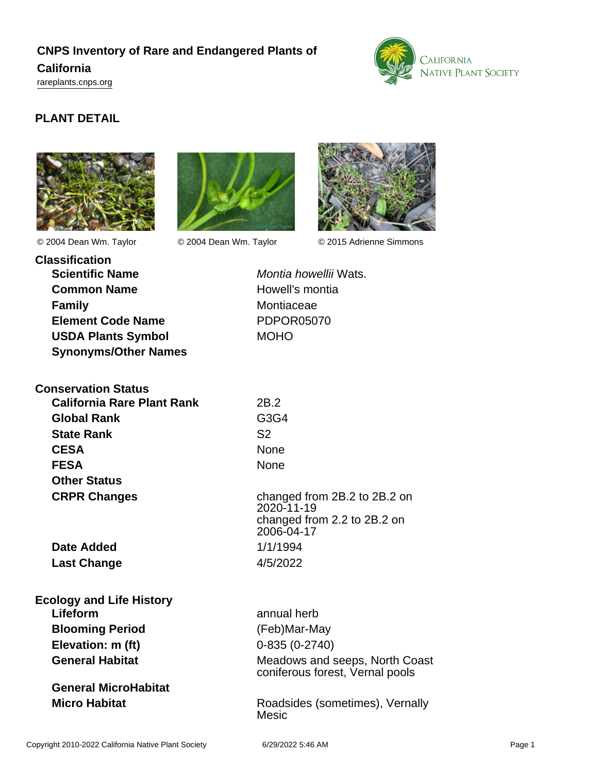# **CNPS Inventory of Rare and Endangered Plants of California**

<rareplants.cnps.org>



# **PLANT DETAIL**







© 2004 Dean Wm. Taylor © 2004 Dean Wm. Taylor © 2015 Adrienne Simmons

| <b>Classification</b> |                             |
|-----------------------|-----------------------------|
|                       | <b>Scientific Name</b>      |
|                       | <b>Common Name</b>          |
| <b>Family</b>         |                             |
|                       | <b>Element Code Name</b>    |
|                       | <b>USDA Plants Symbol</b>   |
|                       | <b>Synonyms/Other Names</b> |

**Conservation Status California Rare Plant Rank** 2B.2 **Global Rank** G3G4 **State Rank** S2 **CESA** None **FESA** None **Other Status CRPR Changes** changed from 2B.2 to 2B.2 on

**Date Added** 1/1/1994 **Last Change** 4/5/2022

# **Ecology and Life History Lifeform** annual herb **Blooming Period** (Feb)Mar-May **Elevation: m (ft)** 0-835 (0-2740)

**General MicroHabitat**

**Montia howellii Wats. Howell's montia Montiaceae Element Code Name** PDPOR05070 **MOHO** 

2020-11-19 changed from 2.2 to 2B.2 on 2006-04-17

**General Habitat** Meadows and seeps, North Coast coniferous forest, Vernal pools

**Micro Habitat Micro Habitat Roadsides** (sometimes), Vernally Mesic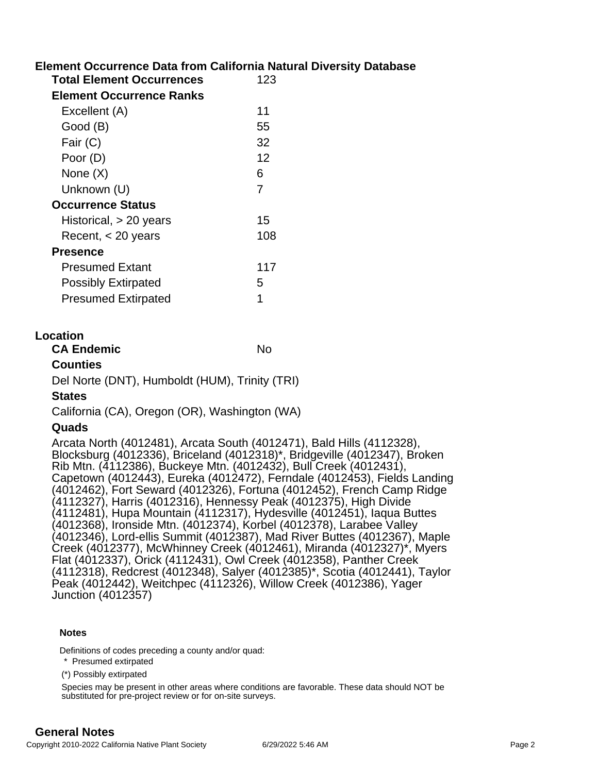# **Element Occurrence Data from California Natural Diversity Database**

| <b>Total Element Occurrences</b> | 123 |
|----------------------------------|-----|
| <b>Element Occurrence Ranks</b>  |     |
| Excellent (A)                    | 11  |
| Good (B)                         | 55  |
| Fair (C)                         | 32  |
| Poor (D)                         | 12  |
| None (X)                         | 6   |
| Unknown (U)                      | 7   |
| <b>Occurrence Status</b>         |     |
| Historical, $> 20$ years         | 15  |
| Recent, $<$ 20 years             | 108 |
| <b>Presence</b>                  |     |
| Presumed Extant                  | 117 |
| <b>Possibly Extirpated</b>       |     |
| Presumed Extirpated              | 1   |
|                                  |     |

#### **Location**

| <b>CA Endemic</b> | No |
|-------------------|----|
|                   |    |

#### **Counties**

Del Norte (DNT), Humboldt (HUM), Trinity (TRI)

#### **States**

California (CA), Oregon (OR), Washington (WA)

### **Quads**

Arcata North (4012481), Arcata South (4012471), Bald Hills (4112328), Blocksburg (4012336), Briceland (4012318)\*, Bridgeville (4012347), Broken Rib Mtn. (4112386), Buckeye Mtn. (4012432), Bull Creek (4012431), Capetown (4012443), Eureka (4012472), Ferndale (4012453), Fields Landing (4012462), Fort Seward (4012326), Fortuna (4012452), French Camp Ridge (4112327), Harris (4012316), Hennessy Peak (4012375), High Divide (4112481), Hupa Mountain (4112317), Hydesville (4012451), Iaqua Buttes (4012368), Ironside Mtn. (4012374), Korbel (4012378), Larabee Valley (4012346), Lord-ellis Summit (4012387), Mad River Buttes (4012367), Maple Creek (4012377), McWhinney Creek (4012461), Miranda (4012327)\*, Myers Flat (4012337), Orick (4112431), Owl Creek (4012358), Panther Creek (4112318), Redcrest (4012348), Salyer (4012385)\*, Scotia (4012441), Taylor Peak (4012442), Weitchpec (4112326), Willow Creek (4012386), Yager Junction (4012357)

#### **Notes**

Definitions of codes preceding a county and/or quad:

- \* Presumed extirpated
- (\*) Possibly extirpated

Species may be present in other areas where conditions are favorable. These data should NOT be substituted for pre-project review or for on-site surveys.